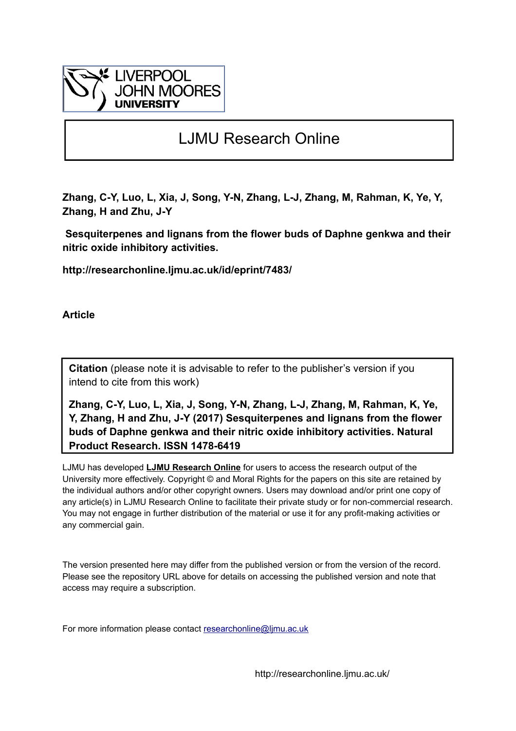

## LJMU Research Online

**Zhang, C-Y, Luo, L, Xia, J, Song, Y-N, Zhang, L-J, Zhang, M, Rahman, K, Ye, Y, Zhang, H and Zhu, J-Y**

 **Sesquiterpenes and lignans from the flower buds of Daphne genkwa and their nitric oxide inhibitory activities.**

**http://researchonline.ljmu.ac.uk/id/eprint/7483/**

**Article**

**Citation** (please note it is advisable to refer to the publisher's version if you intend to cite from this work)

**Zhang, C-Y, Luo, L, Xia, J, Song, Y-N, Zhang, L-J, Zhang, M, Rahman, K, Ye, Y, Zhang, H and Zhu, J-Y (2017) Sesquiterpenes and lignans from the flower buds of Daphne genkwa and their nitric oxide inhibitory activities. Natural Product Research. ISSN 1478-6419** 

LJMU has developed **[LJMU Research Online](http://researchonline.ljmu.ac.uk/)** for users to access the research output of the University more effectively. Copyright © and Moral Rights for the papers on this site are retained by the individual authors and/or other copyright owners. Users may download and/or print one copy of any article(s) in LJMU Research Online to facilitate their private study or for non-commercial research. You may not engage in further distribution of the material or use it for any profit-making activities or any commercial gain.

The version presented here may differ from the published version or from the version of the record. Please see the repository URL above for details on accessing the published version and note that access may require a subscription.

For more information please contact researchonline@limu.ac.uk

http://researchonline.ljmu.ac.uk/